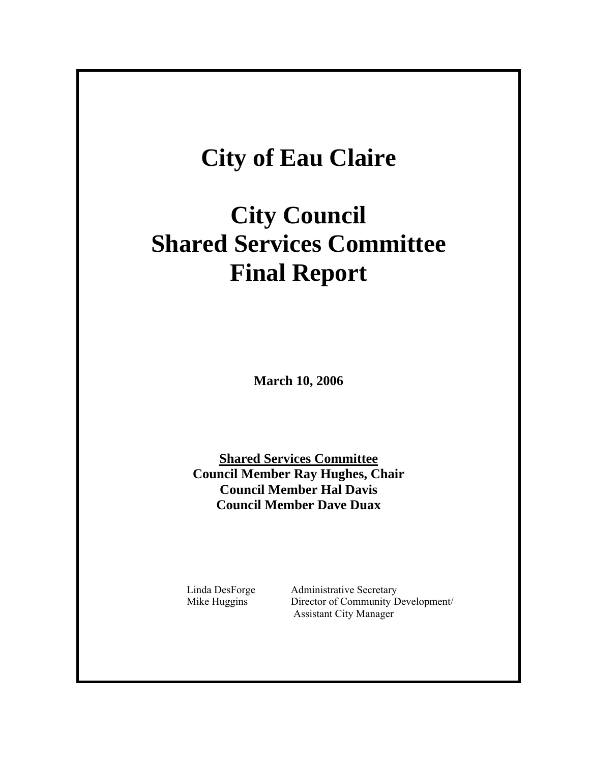# **City of Eau Claire**

# **City Council Shared Services Committee Final Report**

**March 10, 2006** 

**Shared Services Committee Council Member Ray Hughes, Chair Council Member Hal Davis Council Member Dave Duax** 

 Linda DesForge Administrative Secretary Mike Huggins Director of Community Development/ Assistant City Manager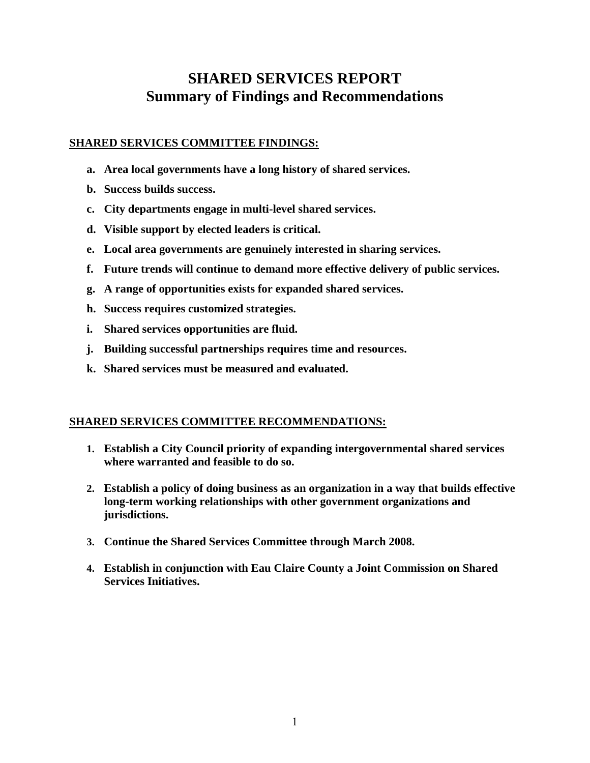# **SHARED SERVICES REPORT Summary of Findings and Recommendations**

# **SHARED SERVICES COMMITTEE FINDINGS:**

- **a. Area local governments have a long history of shared services.**
- **b. Success builds success.**
- **c. City departments engage in multi-level shared services.**
- **d. Visible support by elected leaders is critical.**
- **e. Local area governments are genuinely interested in sharing services.**
- **f. Future trends will continue to demand more effective delivery of public services.**
- **g. A range of opportunities exists for expanded shared services.**
- **h. Success requires customized strategies.**
- **i. Shared services opportunities are fluid.**
- **j. Building successful partnerships requires time and resources.**
- **k. Shared services must be measured and evaluated.**

# **SHARED SERVICES COMMITTEE RECOMMENDATIONS:**

- **1. Establish a City Council priority of expanding intergovernmental shared services where warranted and feasible to do so.**
- **2. Establish a policy of doing business as an organization in a way that builds effective long-term working relationships with other government organizations and jurisdictions.**
- **3. Continue the Shared Services Committee through March 2008.**
- **4. Establish in conjunction with Eau Claire County a Joint Commission on Shared Services Initiatives.**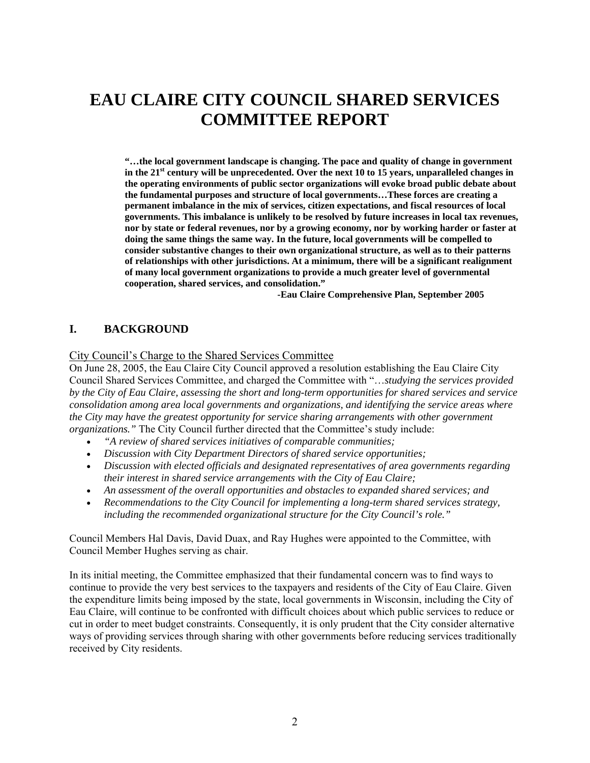# **EAU CLAIRE CITY COUNCIL SHARED SERVICES COMMITTEE REPORT**

**"…the local government landscape is changing. The pace and quality of change in government**  in the 21<sup>st</sup> century will be unprecedented. Over the next 10 to 15 years, unparalleled changes in **the operating environments of public sector organizations will evoke broad public debate about the fundamental purposes and structure of local governments…These forces are creating a permanent imbalance in the mix of services, citizen expectations, and fiscal resources of local governments. This imbalance is unlikely to be resolved by future increases in local tax revenues, nor by state or federal revenues, nor by a growing economy, nor by working harder or faster at doing the same things the same way. In the future, local governments will be compelled to consider substantive changes to their own organizational structure, as well as to their patterns of relationships with other jurisdictions. At a minimum, there will be a significant realignment of many local government organizations to provide a much greater level of governmental cooperation, shared services, and consolidation."** 

 **-Eau Claire Comprehensive Plan, September 2005** 

## **I. BACKGROUND**

City Council's Charge to the Shared Services Committee

On June 28, 2005, the Eau Claire City Council approved a resolution establishing the Eau Claire City Council Shared Services Committee, and charged the Committee with "…*studying the services provided by the City of Eau Claire, assessing the short and long-term opportunities for shared services and service consolidation among area local governments and organizations, and identifying the service areas where the City may have the greatest opportunity for service sharing arrangements with other government organizations."* The City Council further directed that the Committee's study include:

- *"A review of shared services initiatives of comparable communities;*
- *Discussion with City Department Directors of shared service opportunities;*
- *Discussion with elected officials and designated representatives of area governments regarding their interest in shared service arrangements with the City of Eau Claire;*
- *An assessment of the overall opportunities and obstacles to expanded shared services; and*
- *Recommendations to the City Council for implementing a long-term shared services strategy, including the recommended organizational structure for the City Council's role."*

Council Members Hal Davis, David Duax, and Ray Hughes were appointed to the Committee, with Council Member Hughes serving as chair.

In its initial meeting, the Committee emphasized that their fundamental concern was to find ways to continue to provide the very best services to the taxpayers and residents of the City of Eau Claire. Given the expenditure limits being imposed by the state, local governments in Wisconsin, including the City of Eau Claire, will continue to be confronted with difficult choices about which public services to reduce or cut in order to meet budget constraints. Consequently, it is only prudent that the City consider alternative ways of providing services through sharing with other governments before reducing services traditionally received by City residents.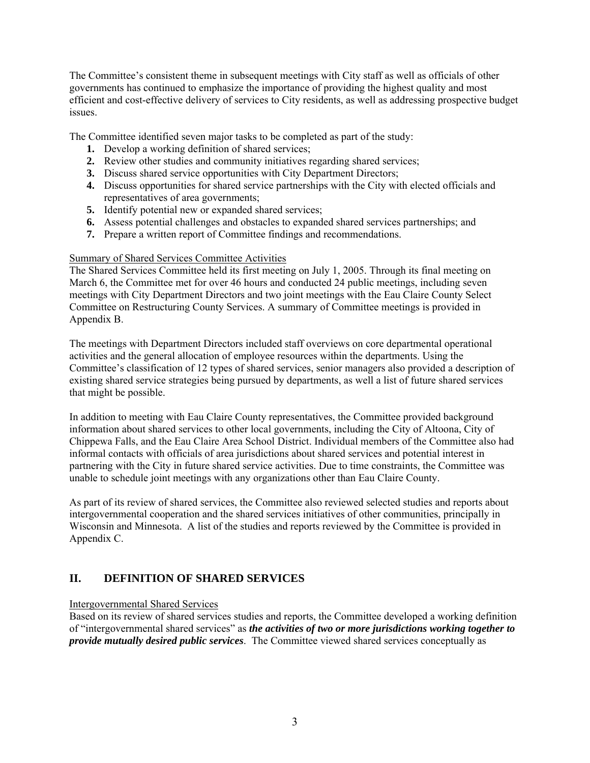The Committee's consistent theme in subsequent meetings with City staff as well as officials of other governments has continued to emphasize the importance of providing the highest quality and most efficient and cost-effective delivery of services to City residents, as well as addressing prospective budget issues.

The Committee identified seven major tasks to be completed as part of the study:

- **1.** Develop a working definition of shared services;
- **2.** Review other studies and community initiatives regarding shared services;
- **3.** Discuss shared service opportunities with City Department Directors;
- **4.** Discuss opportunities for shared service partnerships with the City with elected officials and representatives of area governments;
- **5.** Identify potential new or expanded shared services;
- **6.** Assess potential challenges and obstacles to expanded shared services partnerships; and
- **7.** Prepare a written report of Committee findings and recommendations.

#### Summary of Shared Services Committee Activities

The Shared Services Committee held its first meeting on July 1, 2005. Through its final meeting on March 6, the Committee met for over 46 hours and conducted 24 public meetings, including seven meetings with City Department Directors and two joint meetings with the Eau Claire County Select Committee on Restructuring County Services. A summary of Committee meetings is provided in Appendix B.

The meetings with Department Directors included staff overviews on core departmental operational activities and the general allocation of employee resources within the departments. Using the Committee's classification of 12 types of shared services, senior managers also provided a description of existing shared service strategies being pursued by departments, as well a list of future shared services that might be possible.

In addition to meeting with Eau Claire County representatives, the Committee provided background information about shared services to other local governments, including the City of Altoona, City of Chippewa Falls, and the Eau Claire Area School District. Individual members of the Committee also had informal contacts with officials of area jurisdictions about shared services and potential interest in partnering with the City in future shared service activities. Due to time constraints, the Committee was unable to schedule joint meetings with any organizations other than Eau Claire County.

As part of its review of shared services, the Committee also reviewed selected studies and reports about intergovernmental cooperation and the shared services initiatives of other communities, principally in Wisconsin and Minnesota. A list of the studies and reports reviewed by the Committee is provided in Appendix C.

# **II. DEFINITION OF SHARED SERVICES**

#### Intergovernmental Shared Services

Based on its review of shared services studies and reports, the Committee developed a working definition of "intergovernmental shared services" as *the activities of two or more jurisdictions working together to provide mutually desired public services*. The Committee viewed shared services conceptually as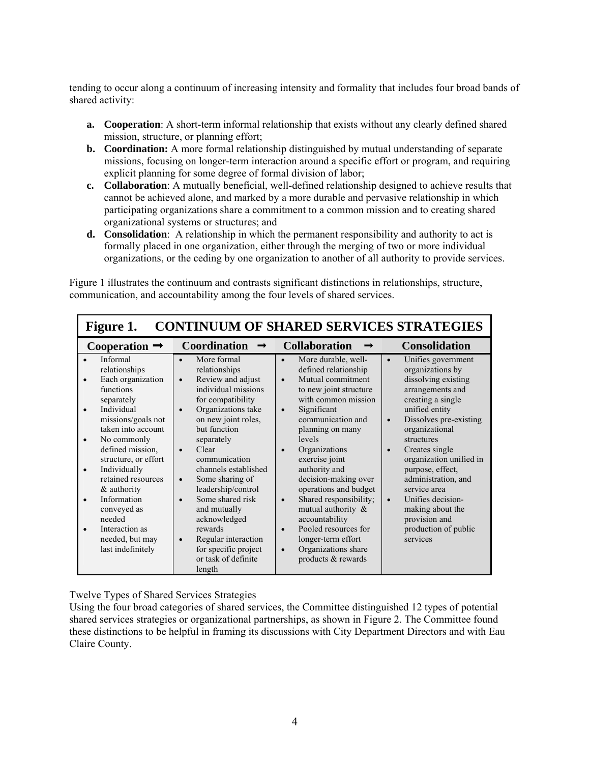tending to occur along a continuum of increasing intensity and formality that includes four broad bands of shared activity:

- **a.** Cooperation: A short-term informal relationship that exists without any clearly defined shared mission, structure, or planning effort;
- **b.** Coordination: A more formal relationship distinguished by mutual understanding of separate missions, focusing on longer-term interaction around a specific effort or program, and requiring explicit planning for some degree of formal division of labor;
- **c. Collaboration**: A mutually beneficial, well-defined relationship designed to achieve results that cannot be achieved alone, and marked by a more durable and pervasive relationship in which participating organizations share a commitment to a common mission and to creating shared organizational systems or structures; and
- **d. Consolidation**: A relationship in which the permanent responsibility and authority to act is formally placed in one organization, either through the merging of two or more individual organizations, or the ceding by one organization to another of all authority to provide services.

Figure 1 illustrates the continuum and contrasts significant distinctions in relationships, structure, communication, and accountability among the four levels of shared services.

| <b>CONTINUUM OF SHARED SERVICES STRATEGIES</b><br>Figure 1.                                                                                                                                                                                                                                                                                           |                                                                                                                                                                                                                                                                                                                                                                                                                                                                                                  |                                                                                                                                                                                                                                                                                                                                                                                                                                                                                                                                        |                                                                                                                                                                                                                                                                                                                                                                                                                                              |  |
|-------------------------------------------------------------------------------------------------------------------------------------------------------------------------------------------------------------------------------------------------------------------------------------------------------------------------------------------------------|--------------------------------------------------------------------------------------------------------------------------------------------------------------------------------------------------------------------------------------------------------------------------------------------------------------------------------------------------------------------------------------------------------------------------------------------------------------------------------------------------|----------------------------------------------------------------------------------------------------------------------------------------------------------------------------------------------------------------------------------------------------------------------------------------------------------------------------------------------------------------------------------------------------------------------------------------------------------------------------------------------------------------------------------------|----------------------------------------------------------------------------------------------------------------------------------------------------------------------------------------------------------------------------------------------------------------------------------------------------------------------------------------------------------------------------------------------------------------------------------------------|--|
| Cooperation $\rightarrow$                                                                                                                                                                                                                                                                                                                             | <b>Coordination</b>                                                                                                                                                                                                                                                                                                                                                                                                                                                                              | <b>Collaboration</b>                                                                                                                                                                                                                                                                                                                                                                                                                                                                                                                   | <b>Consolidation</b>                                                                                                                                                                                                                                                                                                                                                                                                                         |  |
| Informal<br>relationships<br>Each organization<br>functions<br>separately<br>Individual<br>missions/goals not<br>taken into account<br>No commonly<br>defined mission,<br>structure, or effort<br>Individually<br>retained resources<br>& authority<br>Information<br>conveyed as<br>needed<br>Interaction as<br>needed, but may<br>last indefinitely | More formal<br>relationships<br>Review and adjust<br>$\bullet$<br>individual missions<br>for compatibility<br>Organizations take<br>$\bullet$<br>on new joint roles,<br>but function<br>separately<br>Clear<br>$\bullet$<br>communication<br>channels established<br>Some sharing of<br>$\bullet$<br>leadership/control<br>Some shared risk<br>$\bullet$<br>and mutually<br>acknowledged<br>rewards<br>Regular interaction<br>$\bullet$<br>for specific project<br>or task of definite<br>length | More durable, well-<br>$\bullet$<br>defined relationship<br>Mutual commitment<br>$\bullet$<br>to new joint structure<br>with common mission<br>Significant<br>$\bullet$<br>communication and<br>planning on many<br>levels<br>Organizations<br>exercise joint<br>authority and<br>decision-making over<br>operations and budget<br>Shared responsibility;<br>$\bullet$<br>mutual authority $\&$<br>accountability<br>Pooled resources for<br>$\bullet$<br>longer-term effort<br>Organizations share<br>$\bullet$<br>products & rewards | Unifies government<br>$\bullet$<br>organizations by<br>dissolving existing<br>arrangements and<br>creating a single<br>unified entity<br>Dissolves pre-existing<br>$\bullet$<br>organizational<br>structures<br>Creates single<br>$\bullet$<br>organization unified in<br>purpose, effect,<br>administration, and<br>service area<br>Unifies decision-<br>$\bullet$<br>making about the<br>provision and<br>production of public<br>services |  |

#### Twelve Types of Shared Services Strategies

Using the four broad categories of shared services, the Committee distinguished 12 types of potential shared services strategies or organizational partnerships, as shown in Figure 2. The Committee found these distinctions to be helpful in framing its discussions with City Department Directors and with Eau Claire County.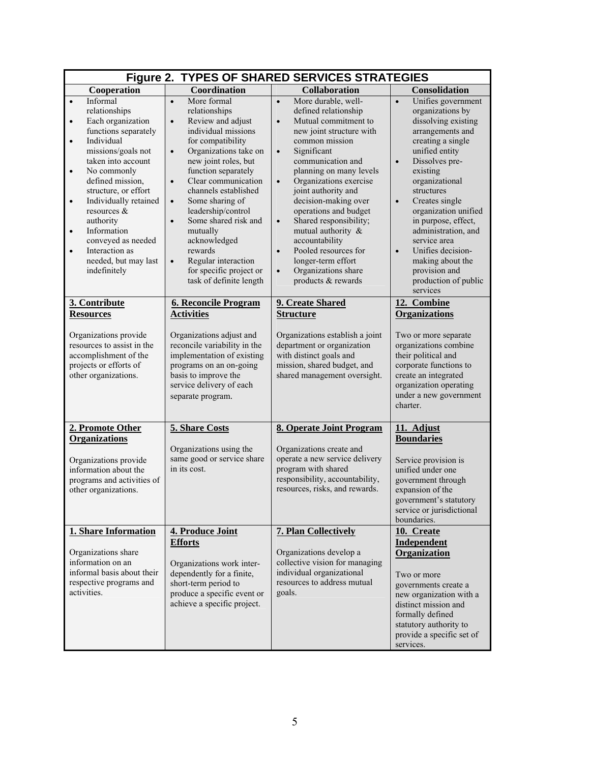| Figure 2. TYPES OF SHARED SERVICES STRATEGIES                                                                                                                                                                                                                                                                                                                                                                                                 |                                                                                                                                                                                                                                                                                                                                                                                                                                                                                                      |                                                                                                                                                                                                                                                                                                                                                                                                                                                                                                                                            |                                                                                                                                                                                                                                                                                                                                                                                                                                                  |  |
|-----------------------------------------------------------------------------------------------------------------------------------------------------------------------------------------------------------------------------------------------------------------------------------------------------------------------------------------------------------------------------------------------------------------------------------------------|------------------------------------------------------------------------------------------------------------------------------------------------------------------------------------------------------------------------------------------------------------------------------------------------------------------------------------------------------------------------------------------------------------------------------------------------------------------------------------------------------|--------------------------------------------------------------------------------------------------------------------------------------------------------------------------------------------------------------------------------------------------------------------------------------------------------------------------------------------------------------------------------------------------------------------------------------------------------------------------------------------------------------------------------------------|--------------------------------------------------------------------------------------------------------------------------------------------------------------------------------------------------------------------------------------------------------------------------------------------------------------------------------------------------------------------------------------------------------------------------------------------------|--|
| Cooperation                                                                                                                                                                                                                                                                                                                                                                                                                                   | Coordination                                                                                                                                                                                                                                                                                                                                                                                                                                                                                         | <b>Collaboration</b>                                                                                                                                                                                                                                                                                                                                                                                                                                                                                                                       | Consolidation                                                                                                                                                                                                                                                                                                                                                                                                                                    |  |
| Informal<br>$\bullet$<br>relationships<br>Each organization<br>$\bullet$<br>functions separately<br>Individual<br>$\bullet$<br>missions/goals not<br>taken into account<br>No commonly<br>$\bullet$<br>defined mission,<br>structure, or effort<br>Individually retained<br>$\bullet$<br>resources $\&$<br>authority<br>Information<br>$\bullet$<br>conveyed as needed<br>Interaction as<br>$\bullet$<br>needed, but may last<br>indefinitely | More formal<br>$\bullet$<br>relationships<br>Review and adjust<br>$\bullet$<br>individual missions<br>for compatibility<br>Organizations take on<br>$\bullet$<br>new joint roles, but<br>function separately<br>Clear communication<br>$\bullet$<br>channels established<br>Some sharing of<br>$\bullet$<br>leadership/control<br>Some shared risk and<br>$\bullet$<br>mutually<br>acknowledged<br>rewards<br>Regular interaction<br>$\bullet$<br>for specific project or<br>task of definite length | More durable, well-<br>$\bullet$<br>defined relationship<br>Mutual commitment to<br>$\bullet$<br>new joint structure with<br>common mission<br>Significant<br>$\bullet$<br>communication and<br>planning on many levels<br>Organizations exercise<br>$\bullet$<br>joint authority and<br>decision-making over<br>operations and budget<br>Shared responsibility;<br>$\bullet$<br>mutual authority &<br>accountability<br>Pooled resources for<br>$\bullet$<br>longer-term effort<br>Organizations share<br>$\bullet$<br>products & rewards | Unifies government<br>$\bullet$<br>organizations by<br>dissolving existing<br>arrangements and<br>creating a single<br>unified entity<br>Dissolves pre-<br>$\bullet$<br>existing<br>organizational<br>structures<br>Creates single<br>$\bullet$<br>organization unified<br>in purpose, effect,<br>administration, and<br>service area<br>Unifies decision-<br>$\bullet$<br>making about the<br>provision and<br>production of public<br>services |  |
| 3. Contribute                                                                                                                                                                                                                                                                                                                                                                                                                                 | <b>6. Reconcile Program</b>                                                                                                                                                                                                                                                                                                                                                                                                                                                                          | 9. Create Shared                                                                                                                                                                                                                                                                                                                                                                                                                                                                                                                           | 12. Combine                                                                                                                                                                                                                                                                                                                                                                                                                                      |  |
| <b>Resources</b>                                                                                                                                                                                                                                                                                                                                                                                                                              | <b>Activities</b>                                                                                                                                                                                                                                                                                                                                                                                                                                                                                    | <b>Structure</b>                                                                                                                                                                                                                                                                                                                                                                                                                                                                                                                           | <b>Organizations</b>                                                                                                                                                                                                                                                                                                                                                                                                                             |  |
| Organizations provide<br>Organizations adjust and<br>reconcile variability in the<br>resources to assist in the<br>implementation of existing<br>accomplishment of the<br>projects or efforts of<br>programs on an on-going<br>other organizations.<br>basis to improve the<br>service delivery of each<br>separate program.                                                                                                                  |                                                                                                                                                                                                                                                                                                                                                                                                                                                                                                      | Organizations establish a joint<br>department or organization<br>with distinct goals and<br>mission, shared budget, and<br>shared management oversight.                                                                                                                                                                                                                                                                                                                                                                                    | Two or more separate<br>organizations combine<br>their political and<br>corporate functions to<br>create an integrated<br>organization operating<br>under a new government<br>charter.                                                                                                                                                                                                                                                           |  |
| 2. Promote Other                                                                                                                                                                                                                                                                                                                                                                                                                              | 5. Share Costs                                                                                                                                                                                                                                                                                                                                                                                                                                                                                       | 8. Operate Joint Program                                                                                                                                                                                                                                                                                                                                                                                                                                                                                                                   | 11. Adjust                                                                                                                                                                                                                                                                                                                                                                                                                                       |  |
| <b>Organizations</b><br>Organizations provide<br>information about the<br>programs and activities of<br>other organizations.                                                                                                                                                                                                                                                                                                                  | Organizations using the<br>same good or service share<br>in its cost.                                                                                                                                                                                                                                                                                                                                                                                                                                | Organizations create and<br>operate a new service delivery<br>program with shared<br>responsibility, accountability,<br>resources, risks, and rewards.                                                                                                                                                                                                                                                                                                                                                                                     | <b>Boundaries</b><br>Service provision is<br>unified under one<br>government through<br>expansion of the<br>government's statutory<br>service or jurisdictional<br>boundaries.                                                                                                                                                                                                                                                                   |  |
| 1. Share Information<br>Organizations share<br>information on an<br>informal basis about their<br>respective programs and<br>activities.                                                                                                                                                                                                                                                                                                      | 4. Produce Joint<br><b>Efforts</b><br>Organizations work inter-<br>dependently for a finite,<br>short-term period to<br>produce a specific event or<br>achieve a specific project.                                                                                                                                                                                                                                                                                                                   | 7. Plan Collectively<br>Organizations develop a<br>collective vision for managing<br>individual organizational<br>resources to address mutual<br>goals.                                                                                                                                                                                                                                                                                                                                                                                    | 10. Create<br><b>Independent</b><br>Organization<br>Two or more<br>governments create a<br>new organization with a<br>distinct mission and<br>formally defined<br>statutory authority to<br>provide a specific set of<br>services.                                                                                                                                                                                                               |  |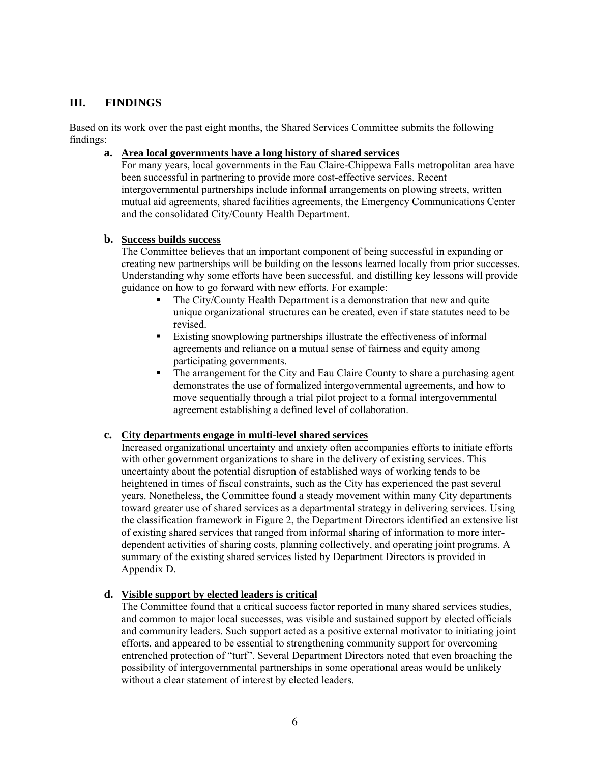## **III. FINDINGS**

Based on its work over the past eight months, the Shared Services Committee submits the following findings:

#### **a. Area local governments have a long history of shared services**

For many years, local governments in the Eau Claire-Chippewa Falls metropolitan area have been successful in partnering to provide more cost-effective services. Recent intergovernmental partnerships include informal arrangements on plowing streets, written mutual aid agreements, shared facilities agreements, the Emergency Communications Center and the consolidated City/County Health Department.

#### **b. Success builds success**

The Committee believes that an important component of being successful in expanding or creating new partnerships will be building on the lessons learned locally from prior successes. Understanding why some efforts have been successful, and distilling key lessons will provide guidance on how to go forward with new efforts. For example:

- The City/County Health Department is a demonstration that new and quite unique organizational structures can be created, even if state statutes need to be revised.
- Existing snowplowing partnerships illustrate the effectiveness of informal agreements and reliance on a mutual sense of fairness and equity among participating governments.
- The arrangement for the City and Eau Claire County to share a purchasing agent demonstrates the use of formalized intergovernmental agreements, and how to move sequentially through a trial pilot project to a formal intergovernmental agreement establishing a defined level of collaboration.

#### **c. City departments engage in multi-level shared services**

Increased organizational uncertainty and anxiety often accompanies efforts to initiate efforts with other government organizations to share in the delivery of existing services. This uncertainty about the potential disruption of established ways of working tends to be heightened in times of fiscal constraints, such as the City has experienced the past several years. Nonetheless, the Committee found a steady movement within many City departments toward greater use of shared services as a departmental strategy in delivering services. Using the classification framework in Figure 2, the Department Directors identified an extensive list of existing shared services that ranged from informal sharing of information to more interdependent activities of sharing costs, planning collectively, and operating joint programs. A summary of the existing shared services listed by Department Directors is provided in Appendix D.

#### **d. Visible support by elected leaders is critical**

The Committee found that a critical success factor reported in many shared services studies, and common to major local successes, was visible and sustained support by elected officials and community leaders. Such support acted as a positive external motivator to initiating joint efforts, and appeared to be essential to strengthening community support for overcoming entrenched protection of "turf". Several Department Directors noted that even broaching the possibility of intergovernmental partnerships in some operational areas would be unlikely without a clear statement of interest by elected leaders.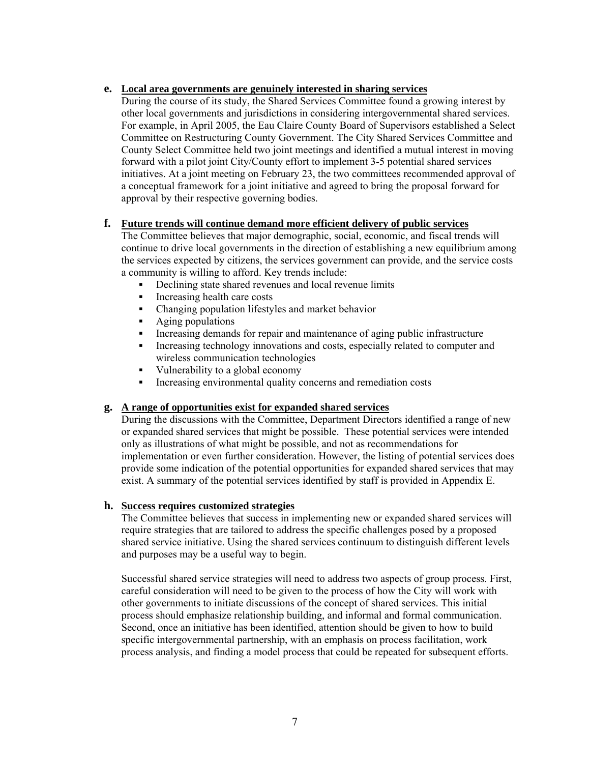#### **e. Local area governments are genuinely interested in sharing services**

During the course of its study, the Shared Services Committee found a growing interest by other local governments and jurisdictions in considering intergovernmental shared services. For example, in April 2005, the Eau Claire County Board of Supervisors established a Select Committee on Restructuring County Government. The City Shared Services Committee and County Select Committee held two joint meetings and identified a mutual interest in moving forward with a pilot joint City/County effort to implement 3-5 potential shared services initiatives. At a joint meeting on February 23, the two committees recommended approval of a conceptual framework for a joint initiative and agreed to bring the proposal forward for approval by their respective governing bodies.

#### **f. Future trends will continue demand more efficient delivery of public services**

The Committee believes that major demographic, social, economic, and fiscal trends will continue to drive local governments in the direction of establishing a new equilibrium among the services expected by citizens, the services government can provide, and the service costs a community is willing to afford. Key trends include:

- Declining state shared revenues and local revenue limits
- Increasing health care costs
- Changing population lifestyles and market behavior
- **Aging populations**
- Increasing demands for repair and maintenance of aging public infrastructure
- Increasing technology innovations and costs, especially related to computer and wireless communication technologies
- Vulnerability to a global economy
- Increasing environmental quality concerns and remediation costs

#### **g. A range of opportunities exist for expanded shared services**

During the discussions with the Committee, Department Directors identified a range of new or expanded shared services that might be possible. These potential services were intended only as illustrations of what might be possible, and not as recommendations for implementation or even further consideration. However, the listing of potential services does provide some indication of the potential opportunities for expanded shared services that may exist. A summary of the potential services identified by staff is provided in Appendix E.

#### **h. Success requires customized strategies**

The Committee believes that success in implementing new or expanded shared services will require strategies that are tailored to address the specific challenges posed by a proposed shared service initiative. Using the shared services continuum to distinguish different levels and purposes may be a useful way to begin.

Successful shared service strategies will need to address two aspects of group process. First, careful consideration will need to be given to the process of how the City will work with other governments to initiate discussions of the concept of shared services. This initial process should emphasize relationship building, and informal and formal communication. Second, once an initiative has been identified, attention should be given to how to build specific intergovernmental partnership, with an emphasis on process facilitation, work process analysis, and finding a model process that could be repeated for subsequent efforts.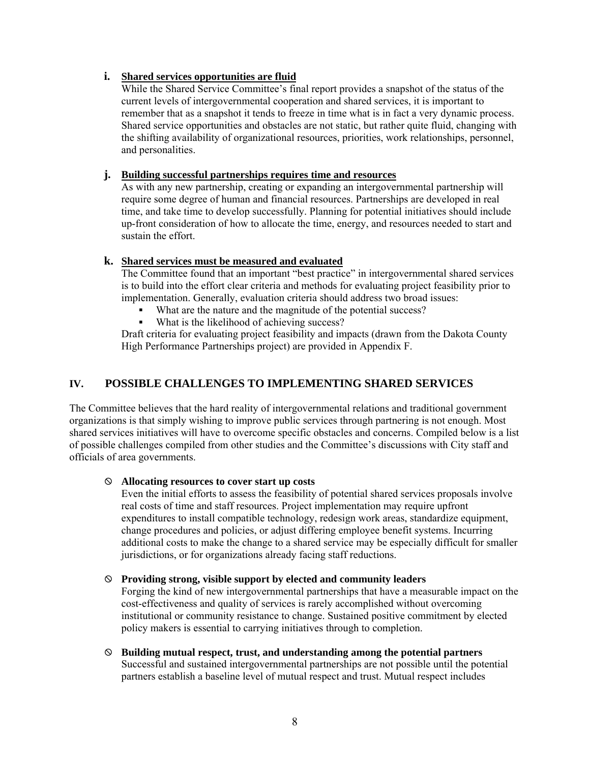#### **i. Shared services opportunities are fluid**

While the Shared Service Committee's final report provides a snapshot of the status of the current levels of intergovernmental cooperation and shared services, it is important to remember that as a snapshot it tends to freeze in time what is in fact a very dynamic process. Shared service opportunities and obstacles are not static, but rather quite fluid, changing with the shifting availability of organizational resources, priorities, work relationships, personnel, and personalities.

#### **j. Building successful partnerships requires time and resources**

As with any new partnership, creating or expanding an intergovernmental partnership will require some degree of human and financial resources. Partnerships are developed in real time, and take time to develop successfully. Planning for potential initiatives should include up-front consideration of how to allocate the time, energy, and resources needed to start and sustain the effort.

#### **k. Shared services must be measured and evaluated**

The Committee found that an important "best practice" in intergovernmental shared services is to build into the effort clear criteria and methods for evaluating project feasibility prior to implementation. Generally, evaluation criteria should address two broad issues:

- What are the nature and the magnitude of the potential success?
- What is the likelihood of achieving success?

Draft criteria for evaluating project feasibility and impacts (drawn from the Dakota County High Performance Partnerships project) are provided in Appendix F.

# **IV. POSSIBLE CHALLENGES TO IMPLEMENTING SHARED SERVICES**

The Committee believes that the hard reality of intergovernmental relations and traditional government organizations is that simply wishing to improve public services through partnering is not enough. Most shared services initiatives will have to overcome specific obstacles and concerns. Compiled below is a list of possible challenges compiled from other studies and the Committee's discussions with City staff and officials of area governments.

#### ; **Allocating resources to cover start up costs**

Even the initial efforts to assess the feasibility of potential shared services proposals involve real costs of time and staff resources. Project implementation may require upfront expenditures to install compatible technology, redesign work areas, standardize equipment, change procedures and policies, or adjust differing employee benefit systems. Incurring additional costs to make the change to a shared service may be especially difficult for smaller jurisdictions, or for organizations already facing staff reductions.

#### ; **Providing strong, visible support by elected and community leaders**

Forging the kind of new intergovernmental partnerships that have a measurable impact on the cost-effectiveness and quality of services is rarely accomplished without overcoming institutional or community resistance to change. Sustained positive commitment by elected policy makers is essential to carrying initiatives through to completion.

; **Building mutual respect, trust, and understanding among the potential partners**  Successful and sustained intergovernmental partnerships are not possible until the potential partners establish a baseline level of mutual respect and trust. Mutual respect includes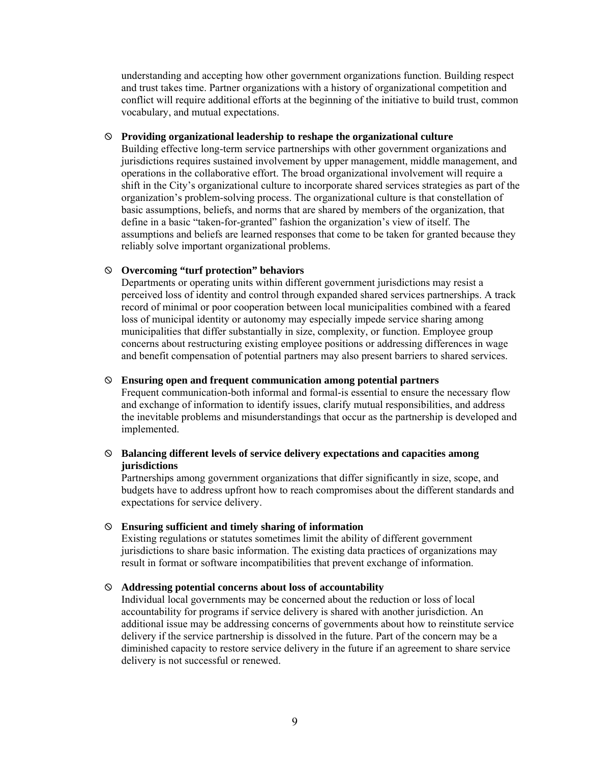understanding and accepting how other government organizations function. Building respect and trust takes time. Partner organizations with a history of organizational competition and conflict will require additional efforts at the beginning of the initiative to build trust, common vocabulary, and mutual expectations.

#### ; **Providing organizational leadership to reshape the organizational culture**

Building effective long-term service partnerships with other government organizations and jurisdictions requires sustained involvement by upper management, middle management, and operations in the collaborative effort. The broad organizational involvement will require a shift in the City's organizational culture to incorporate shared services strategies as part of the organization's problem-solving process. The organizational culture is that constellation of basic assumptions, beliefs, and norms that are shared by members of the organization, that define in a basic "taken-for-granted" fashion the organization's view of itself. The assumptions and beliefs are learned responses that come to be taken for granted because they reliably solve important organizational problems.

#### ; **Overcoming "turf protection" behaviors**

Departments or operating units within different government jurisdictions may resist a perceived loss of identity and control through expanded shared services partnerships. A track record of minimal or poor cooperation between local municipalities combined with a feared loss of municipal identity or autonomy may especially impede service sharing among municipalities that differ substantially in size, complexity, or function. Employee group concerns about restructuring existing employee positions or addressing differences in wage and benefit compensation of potential partners may also present barriers to shared services.

#### ; **Ensuring open and frequent communication among potential partners**

Frequent communication-both informal and formal-is essential to ensure the necessary flow and exchange of information to identify issues, clarify mutual responsibilities, and address the inevitable problems and misunderstandings that occur as the partnership is developed and implemented.

#### ; **Balancing different levels of service delivery expectations and capacities among jurisdictions**

Partnerships among government organizations that differ significantly in size, scope, and budgets have to address upfront how to reach compromises about the different standards and expectations for service delivery.

#### ; **Ensuring sufficient and timely sharing of information**

Existing regulations or statutes sometimes limit the ability of different government jurisdictions to share basic information. The existing data practices of organizations may result in format or software incompatibilities that prevent exchange of information.

#### ; **Addressing potential concerns about loss of accountability**

Individual local governments may be concerned about the reduction or loss of local accountability for programs if service delivery is shared with another jurisdiction. An additional issue may be addressing concerns of governments about how to reinstitute service delivery if the service partnership is dissolved in the future. Part of the concern may be a diminished capacity to restore service delivery in the future if an agreement to share service delivery is not successful or renewed.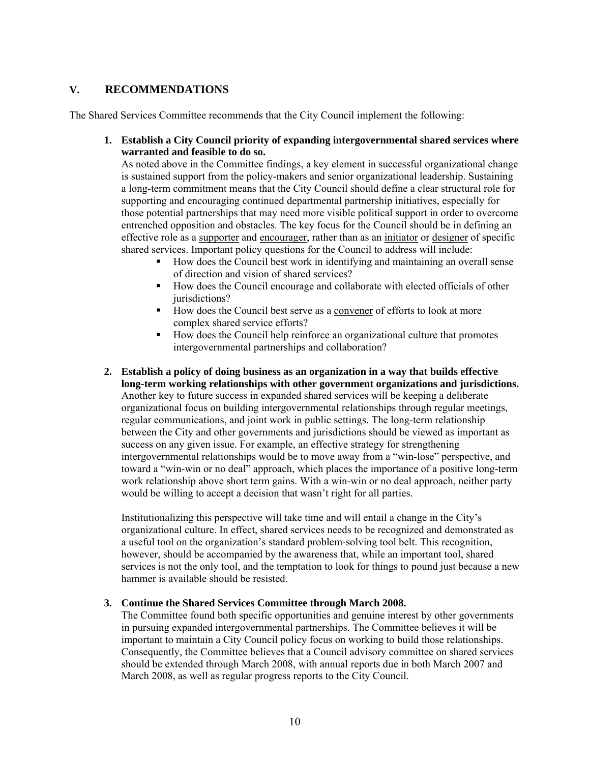### **V. RECOMMENDATIONS**

The Shared Services Committee recommends that the City Council implement the following:

#### **1. Establish a City Council priority of expanding intergovernmental shared services where warranted and feasible to do so.**

As noted above in the Committee findings, a key element in successful organizational change is sustained support from the policy-makers and senior organizational leadership. Sustaining a long-term commitment means that the City Council should define a clear structural role for supporting and encouraging continued departmental partnership initiatives, especially for those potential partnerships that may need more visible political support in order to overcome entrenched opposition and obstacles. The key focus for the Council should be in defining an effective role as a supporter and encourager, rather than as an initiator or designer of specific shared services. Important policy questions for the Council to address will include:

- How does the Council best work in identifying and maintaining an overall sense of direction and vision of shared services?
- How does the Council encourage and collaborate with elected officials of other jurisdictions?
- How does the Council best serve as a convener of efforts to look at more complex shared service efforts?
- How does the Council help reinforce an organizational culture that promotes intergovernmental partnerships and collaboration?
- **2. Establish a policy of doing business as an organization in a way that builds effective long-term working relationships with other government organizations and jurisdictions.**  Another key to future success in expanded shared services will be keeping a deliberate organizational focus on building intergovernmental relationships through regular meetings, regular communications, and joint work in public settings. The long-term relationship between the City and other governments and jurisdictions should be viewed as important as success on any given issue. For example, an effective strategy for strengthening intergovernmental relationships would be to move away from a "win-lose" perspective, and toward a "win-win or no deal" approach, which places the importance of a positive long-term work relationship above short term gains. With a win-win or no deal approach, neither party would be willing to accept a decision that wasn't right for all parties.

Institutionalizing this perspective will take time and will entail a change in the City's organizational culture. In effect, shared services needs to be recognized and demonstrated as a useful tool on the organization's standard problem-solving tool belt. This recognition, however, should be accompanied by the awareness that, while an important tool, shared services is not the only tool, and the temptation to look for things to pound just because a new hammer is available should be resisted.

#### **3. Continue the Shared Services Committee through March 2008.**

The Committee found both specific opportunities and genuine interest by other governments in pursuing expanded intergovernmental partnerships. The Committee believes it will be important to maintain a City Council policy focus on working to build those relationships. Consequently, the Committee believes that a Council advisory committee on shared services should be extended through March 2008, with annual reports due in both March 2007 and March 2008, as well as regular progress reports to the City Council.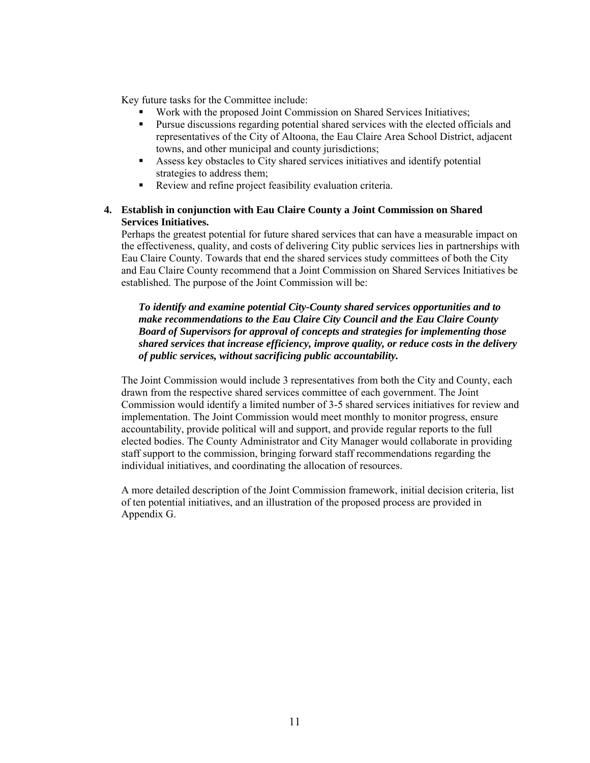Key future tasks for the Committee include:

- Work with the proposed Joint Commission on Shared Services Initiatives;
- **Pursue discussions regarding potential shared services with the elected officials and** representatives of the City of Altoona, the Eau Claire Area School District, adjacent towns, and other municipal and county jurisdictions;
- Assess key obstacles to City shared services initiatives and identify potential strategies to address them;
- Review and refine project feasibility evaluation criteria.

#### **4. Establish in conjunction with Eau Claire County a Joint Commission on Shared Services Initiatives.**

Perhaps the greatest potential for future shared services that can have a measurable impact on the effectiveness, quality, and costs of delivering City public services lies in partnerships with Eau Claire County. Towards that end the shared services study committees of both the City and Eau Claire County recommend that a Joint Commission on Shared Services Initiatives be established. The purpose of the Joint Commission will be:

*To identify and examine potential City-County shared services opportunities and to make recommendations to the Eau Claire City Council and the Eau Claire County Board of Supervisors for approval of concepts and strategies for implementing those shared services that increase efficiency, improve quality, or reduce costs in the delivery of public services, without sacrificing public accountability.* 

The Joint Commission would include 3 representatives from both the City and County, each drawn from the respective shared services committee of each government. The Joint Commission would identify a limited number of 3-5 shared services initiatives for review and implementation. The Joint Commission would meet monthly to monitor progress, ensure accountability, provide political will and support, and provide regular reports to the full elected bodies. The County Administrator and City Manager would collaborate in providing staff support to the commission, bringing forward staff recommendations regarding the individual initiatives, and coordinating the allocation of resources.

A more detailed description of the Joint Commission framework, initial decision criteria, list of ten potential initiatives, and an illustration of the proposed process are provided in Appendix G.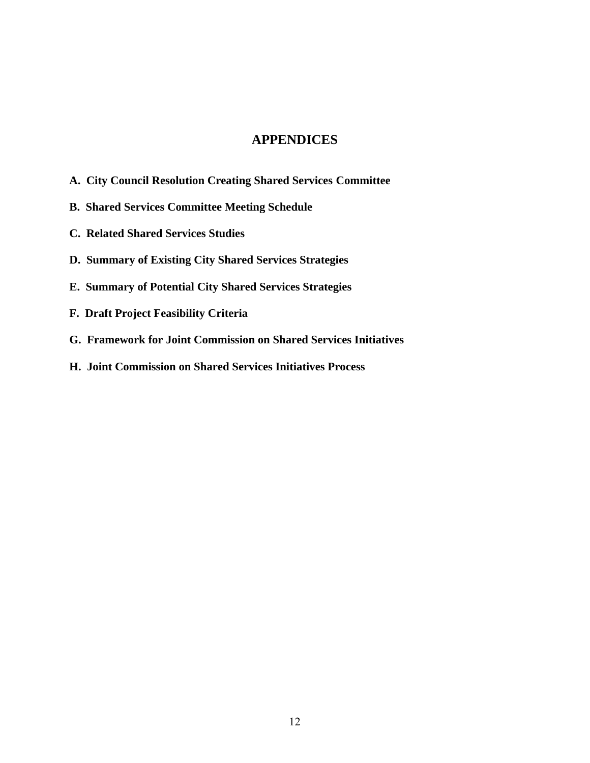# **APPENDICES**

- **A. City Council Resolution Creating Shared Services Committee**
- **B. Shared Services Committee Meeting Schedule**
- **C. Related Shared Services Studies**
- **D. Summary of Existing City Shared Services Strategies**
- **E. Summary of Potential City Shared Services Strategies**
- **F. Draft Project Feasibility Criteria**
- **G. Framework for Joint Commission on Shared Services Initiatives**
- **H. Joint Commission on Shared Services Initiatives Process**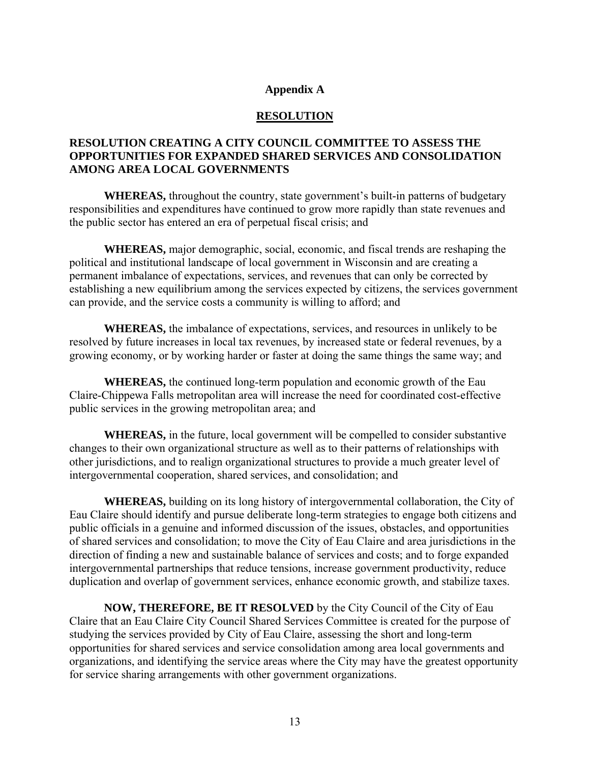#### **Appendix A**

#### **RESOLUTION**

## **RESOLUTION CREATING A CITY COUNCIL COMMITTEE TO ASSESS THE OPPORTUNITIES FOR EXPANDED SHARED SERVICES AND CONSOLIDATION AMONG AREA LOCAL GOVERNMENTS**

 **WHEREAS,** throughout the country, state government's built-in patterns of budgetary responsibilities and expenditures have continued to grow more rapidly than state revenues and the public sector has entered an era of perpetual fiscal crisis; and

**WHEREAS,** major demographic, social, economic, and fiscal trends are reshaping the political and institutional landscape of local government in Wisconsin and are creating a permanent imbalance of expectations, services, and revenues that can only be corrected by establishing a new equilibrium among the services expected by citizens, the services government can provide, and the service costs a community is willing to afford; and

**WHEREAS,** the imbalance of expectations, services, and resources in unlikely to be resolved by future increases in local tax revenues, by increased state or federal revenues, by a growing economy, or by working harder or faster at doing the same things the same way; and

**WHEREAS,** the continued long-term population and economic growth of the Eau Claire-Chippewa Falls metropolitan area will increase the need for coordinated cost-effective public services in the growing metropolitan area; and

**WHEREAS,** in the future, local government will be compelled to consider substantive changes to their own organizational structure as well as to their patterns of relationships with other jurisdictions, and to realign organizational structures to provide a much greater level of intergovernmental cooperation, shared services, and consolidation; and

 **WHEREAS,** building on its long history of intergovernmental collaboration, the City of Eau Claire should identify and pursue deliberate long-term strategies to engage both citizens and public officials in a genuine and informed discussion of the issues, obstacles, and opportunities of shared services and consolidation; to move the City of Eau Claire and area jurisdictions in the direction of finding a new and sustainable balance of services and costs; and to forge expanded intergovernmental partnerships that reduce tensions, increase government productivity, reduce duplication and overlap of government services, enhance economic growth, and stabilize taxes.

**NOW, THEREFORE, BE IT RESOLVED** by the City Council of the City of Eau Claire that an Eau Claire City Council Shared Services Committee is created for the purpose of studying the services provided by City of Eau Claire, assessing the short and long-term opportunities for shared services and service consolidation among area local governments and organizations, and identifying the service areas where the City may have the greatest opportunity for service sharing arrangements with other government organizations.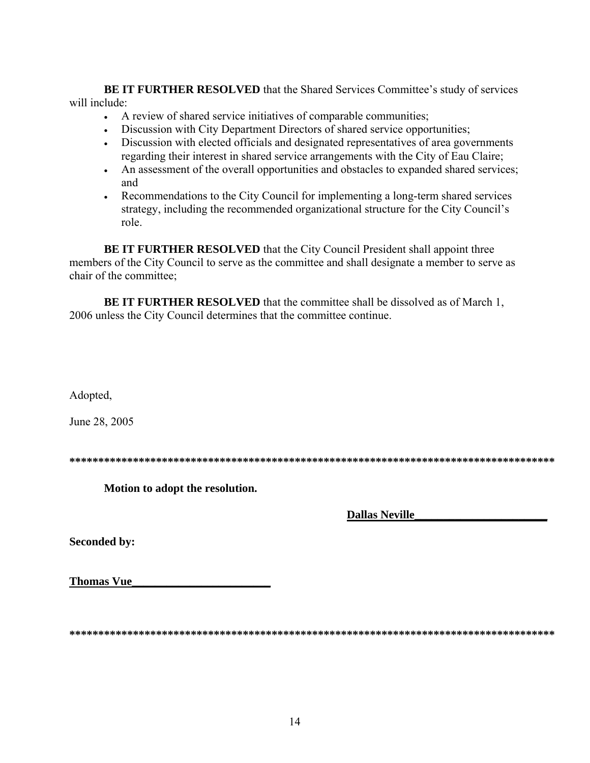**BE IT FURTHER RESOLVED** that the Shared Services Committee's study of services will include:

- A review of shared service initiatives of comparable communities;
- Discussion with City Department Directors of shared service opportunities;
- Discussion with elected officials and designated representatives of area governments regarding their interest in shared service arrangements with the City of Eau Claire;
- An assessment of the overall opportunities and obstacles to expanded shared services; and
- Recommendations to the City Council for implementing a long-term shared services strategy, including the recommended organizational structure for the City Council's role.

**BE IT FURTHER RESOLVED** that the City Council President shall appoint three members of the City Council to serve as the committee and shall designate a member to serve as chair of the committee;

**BE IT FURTHER RESOLVED** that the committee shall be dissolved as of March 1, 2006 unless the City Council determines that the committee continue.

Adopted,

June 28, 2005

**\*\*\*\*\*\*\*\*\*\*\*\*\*\*\*\*\*\*\*\*\*\*\*\*\*\*\*\*\*\*\*\*\*\*\*\*\*\*\*\*\*\*\*\*\*\*\*\*\*\*\*\*\*\*\*\*\*\*\*\*\*\*\*\*\*\*\*\*\*\*\*\*\*\*\*\*\*\*\*\*\*\*\*\*** 

**Motion to adopt the resolution.** 

 **Dallas Neville\_\_\_\_\_\_\_\_\_\_\_\_\_\_\_\_\_\_\_\_\_\_\_**

**Seconded by:** 

**Thomas Vue\_\_\_\_\_\_\_\_\_\_\_\_\_\_\_\_\_\_\_\_\_\_\_\_**

**\*\*\*\*\*\*\*\*\*\*\*\*\*\*\*\*\*\*\*\*\*\*\*\*\*\*\*\*\*\*\*\*\*\*\*\*\*\*\*\*\*\*\*\*\*\*\*\*\*\*\*\*\*\*\*\*\*\*\*\*\*\*\*\*\*\*\*\*\*\*\*\*\*\*\*\*\*\*\*\*\*\*\*\***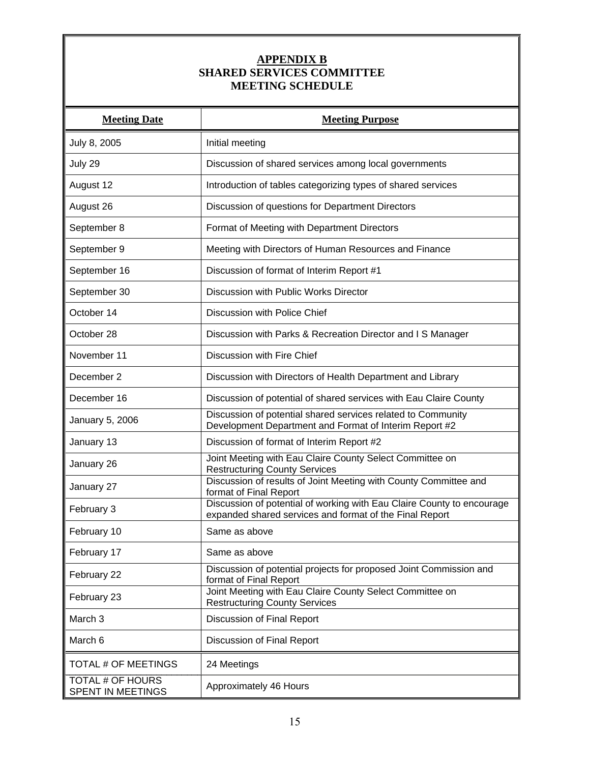# **APPENDIX B SHARED SERVICES COMMITTEE MEETING SCHEDULE**

| <b>Meeting Date</b>                          | <b>Meeting Purpose</b>                                                                                                            |
|----------------------------------------------|-----------------------------------------------------------------------------------------------------------------------------------|
| July 8, 2005                                 | Initial meeting                                                                                                                   |
| July 29                                      | Discussion of shared services among local governments                                                                             |
| August 12                                    | Introduction of tables categorizing types of shared services                                                                      |
| August 26                                    | Discussion of questions for Department Directors                                                                                  |
| September 8                                  | Format of Meeting with Department Directors                                                                                       |
| September 9                                  | Meeting with Directors of Human Resources and Finance                                                                             |
| September 16                                 | Discussion of format of Interim Report #1                                                                                         |
| September 30                                 | Discussion with Public Works Director                                                                                             |
| October 14                                   | Discussion with Police Chief                                                                                                      |
| October 28                                   | Discussion with Parks & Recreation Director and I S Manager                                                                       |
| November 11                                  | Discussion with Fire Chief                                                                                                        |
| December 2                                   | Discussion with Directors of Health Department and Library                                                                        |
| December 16                                  | Discussion of potential of shared services with Eau Claire County                                                                 |
| January 5, 2006                              | Discussion of potential shared services related to Community<br>Development Department and Format of Interim Report #2            |
| January 13                                   | Discussion of format of Interim Report #2                                                                                         |
| January 26                                   | Joint Meeting with Eau Claire County Select Committee on<br><b>Restructuring County Services</b>                                  |
| January 27                                   | Discussion of results of Joint Meeting with County Committee and<br>format of Final Report                                        |
| February 3                                   | Discussion of potential of working with Eau Claire County to encourage<br>expanded shared services and format of the Final Report |
| February 10                                  | Same as above                                                                                                                     |
| February 17                                  | Same as above                                                                                                                     |
| February 22                                  | Discussion of potential projects for proposed Joint Commission and<br>format of Final Report                                      |
| February 23                                  | Joint Meeting with Eau Claire County Select Committee on<br><b>Restructuring County Services</b>                                  |
| March 3                                      | Discussion of Final Report                                                                                                        |
| March 6                                      | Discussion of Final Report                                                                                                        |
| <b>TOTAL # OF MEETINGS</b>                   | 24 Meetings                                                                                                                       |
| <b>TOTAL # OF HOURS</b><br>SPENT IN MEETINGS | Approximately 46 Hours                                                                                                            |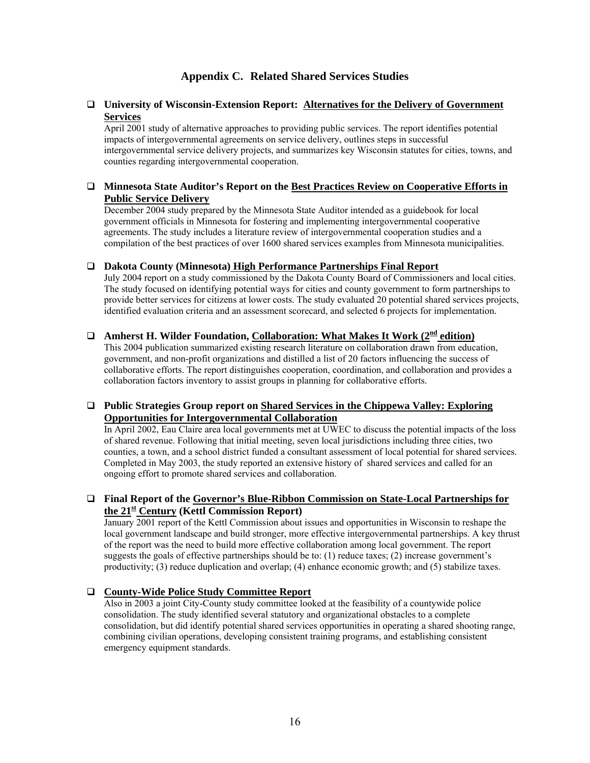## **Appendix C. Related Shared Services Studies**

#### **University of Wisconsin-Extension Report: Alternatives for the Delivery of Government Services**

April 2001 study of alternative approaches to providing public services. The report identifies potential impacts of intergovernmental agreements on service delivery, outlines steps in successful intergovernmental service delivery projects, and summarizes key Wisconsin statutes for cities, towns, and counties regarding intergovernmental cooperation.

#### **Minnesota State Auditor's Report on the Best Practices Review on Cooperative Efforts in Public Service Delivery**

December 2004 study prepared by the Minnesota State Auditor intended as a guidebook for local government officials in Minnesota for fostering and implementing intergovernmental cooperative agreements. The study includes a literature review of intergovernmental cooperation studies and a compilation of the best practices of over 1600 shared services examples from Minnesota municipalities.

#### **Dakota County (Minnesota) High Performance Partnerships Final Report**

July 2004 report on a study commissioned by the Dakota County Board of Commissioners and local cities. The study focused on identifying potential ways for cities and county government to form partnerships to provide better services for citizens at lower costs. The study evaluated 20 potential shared services projects, identified evaluation criteria and an assessment scorecard, and selected 6 projects for implementation.

# **Amherst H. Wilder Foundation, Collaboration: What Makes It Work (2nd edition)**

This 2004 publication summarized existing research literature on collaboration drawn from education, government, and non-profit organizations and distilled a list of 20 factors influencing the success of collaborative efforts. The report distinguishes cooperation, coordination, and collaboration and provides a collaboration factors inventory to assist groups in planning for collaborative efforts.

#### **Public Strategies Group report on Shared Services in the Chippewa Valley: Exploring Opportunities for Intergovernmental Collaboration**

In April 2002, Eau Claire area local governments met at UWEC to discuss the potential impacts of the loss of shared revenue. Following that initial meeting, seven local jurisdictions including three cities, two counties, a town, and a school district funded a consultant assessment of local potential for shared services. Completed in May 2003, the study reported an extensive history of shared services and called for an ongoing effort to promote shared services and collaboration.

#### **Final Report of the Governor's Blue-Ribbon Commission on State-Local Partnerships for the 21st Century (Kettl Commission Report)**

January 2001 report of the Kettl Commission about issues and opportunities in Wisconsin to reshape the local government landscape and build stronger, more effective intergovernmental partnerships. A key thrust of the report was the need to build more effective collaboration among local government. The report suggests the goals of effective partnerships should be to: (1) reduce taxes; (2) increase government's productivity; (3) reduce duplication and overlap; (4) enhance economic growth; and (5) stabilize taxes.

#### **County-Wide Police Study Committee Report**

Also in 2003 a joint City-County study committee looked at the feasibility of a countywide police consolidation. The study identified several statutory and organizational obstacles to a complete consolidation, but did identify potential shared services opportunities in operating a shared shooting range, combining civilian operations, developing consistent training programs, and establishing consistent emergency equipment standards.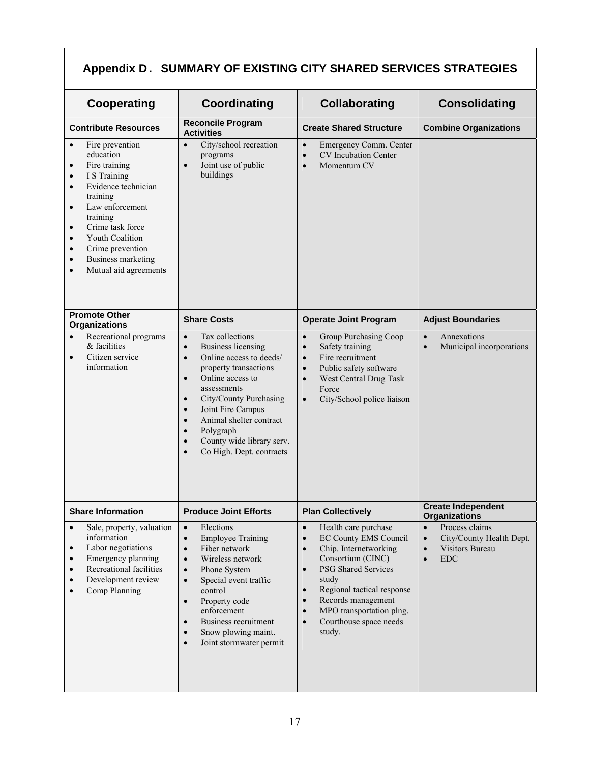# **Appendix D. SUMMARY OF EXISTING CITY SHARED SERVICES STRATEGIES**

| Cooperating                                                                                                                                                                                                                                                                                                                                                                               | <b>Coordinating</b>                                                                                                                                                                                                                                                                                                                                                                                                   | <b>Collaborating</b>                                                                                                                                                                                                                                                                                                                                           | <b>Consolidating</b>                                                                                                                   |  |
|-------------------------------------------------------------------------------------------------------------------------------------------------------------------------------------------------------------------------------------------------------------------------------------------------------------------------------------------------------------------------------------------|-----------------------------------------------------------------------------------------------------------------------------------------------------------------------------------------------------------------------------------------------------------------------------------------------------------------------------------------------------------------------------------------------------------------------|----------------------------------------------------------------------------------------------------------------------------------------------------------------------------------------------------------------------------------------------------------------------------------------------------------------------------------------------------------------|----------------------------------------------------------------------------------------------------------------------------------------|--|
| <b>Reconcile Program</b><br><b>Contribute Resources</b><br><b>Activities</b>                                                                                                                                                                                                                                                                                                              |                                                                                                                                                                                                                                                                                                                                                                                                                       | <b>Create Shared Structure</b>                                                                                                                                                                                                                                                                                                                                 | <b>Combine Organizations</b>                                                                                                           |  |
| Fire prevention<br>$\bullet$<br>education<br>Fire training<br>$\bullet$<br>I S Training<br>$\bullet$<br>Evidence technician<br>$\bullet$<br>training<br>Law enforcement<br>$\bullet$<br>training<br>Crime task force<br>$\bullet$<br><b>Youth Coalition</b><br>$\bullet$<br>Crime prevention<br>$\bullet$<br><b>Business marketing</b><br>$\bullet$<br>Mutual aid agreements<br>$\bullet$ | City/school recreation<br>$\bullet$<br>programs<br>Joint use of public<br>$\bullet$<br>buildings                                                                                                                                                                                                                                                                                                                      | Emergency Comm. Center<br>$\bullet$<br><b>CV</b> Incubation Center<br>$\bullet$<br>Momentum CV<br>$\bullet$                                                                                                                                                                                                                                                    |                                                                                                                                        |  |
| <b>Promote Other</b><br><b>Organizations</b>                                                                                                                                                                                                                                                                                                                                              | <b>Share Costs</b>                                                                                                                                                                                                                                                                                                                                                                                                    | <b>Operate Joint Program</b>                                                                                                                                                                                                                                                                                                                                   | <b>Adjust Boundaries</b>                                                                                                               |  |
| Recreational programs<br>$\bullet$<br>& facilities<br>Citizen service<br>$\bullet$<br>information                                                                                                                                                                                                                                                                                         | Tax collections<br>$\bullet$<br><b>Business licensing</b><br>$\bullet$<br>Online access to deeds/<br>$\bullet$<br>property transactions<br>Online access to<br>$\bullet$<br>assessments<br>City/County Purchasing<br>$\bullet$<br>Joint Fire Campus<br>$\bullet$<br>Animal shelter contract<br>$\bullet$<br>Polygraph<br>$\bullet$<br>County wide library serv.<br>$\bullet$<br>Co High. Dept. contracts<br>$\bullet$ | Group Purchasing Coop<br>$\bullet$<br>Safety training<br>$\bullet$<br>Fire recruitment<br>$\bullet$<br>Public safety software<br>$\bullet$<br>West Central Drug Task<br>$\bullet$<br>Force<br>City/School police liaison<br>$\bullet$                                                                                                                          | Annexations<br>$\bullet$<br>Municipal incorporations<br>$\bullet$                                                                      |  |
| <b>Share Information</b>                                                                                                                                                                                                                                                                                                                                                                  | <b>Produce Joint Efforts</b>                                                                                                                                                                                                                                                                                                                                                                                          | <b>Plan Collectively</b>                                                                                                                                                                                                                                                                                                                                       | <b>Create Independent</b><br><b>Organizations</b>                                                                                      |  |
| Sale, property, valuation<br>$\bullet$<br>information<br>Labor negotiations<br>$\bullet$<br>Emergency planning<br>$\bullet$<br>Recreational facilities<br>$\bullet$<br>Development review<br>$\bullet$<br>Comp Planning<br>$\bullet$                                                                                                                                                      | Elections<br>$\bullet$<br><b>Employee Training</b><br>$\bullet$<br>Fiber network<br>$\bullet$<br>Wireless network<br>$\bullet$<br>Phone System<br>$\bullet$<br>Special event traffic<br>$\bullet$<br>control<br>Property code<br>$\bullet$<br>enforcement<br>Business recruitment<br>$\bullet$<br>Snow plowing maint.<br>$\bullet$<br>Joint stormwater permit<br>$\bullet$                                            | Health care purchase<br>$\bullet$<br><b>EC County EMS Council</b><br>$\bullet$<br>Chip. Internetworking<br>$\bullet$<br>Consortium (CINC)<br>PSG Shared Services<br>$\bullet$<br>study<br>Regional tactical response<br>$\bullet$<br>Records management<br>$\bullet$<br>MPO transportation plng.<br>$\bullet$<br>Courthouse space needs<br>$\bullet$<br>study. | Process claims<br>$\bullet$<br>City/County Health Dept.<br>$\bullet$<br><b>Visitors Bureau</b><br>$\bullet$<br><b>EDC</b><br>$\bullet$ |  |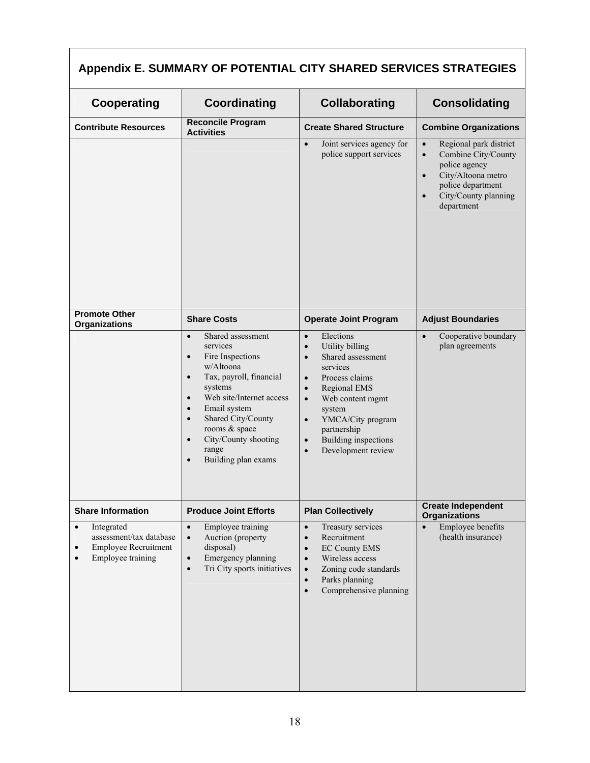# **Appendix E. SUMMARY OF POTENTIAL CITY SHARED SERVICES STRATEGIES**

| Cooperating                                                                                                 | Coordinating                                                                                                                                                                                                                                                                                                                                            | <b>Collaborating</b>                                                                                                                                                                                                                                                                                                                 | <b>Consolidating</b>                                                                                                                                                                                |  |
|-------------------------------------------------------------------------------------------------------------|---------------------------------------------------------------------------------------------------------------------------------------------------------------------------------------------------------------------------------------------------------------------------------------------------------------------------------------------------------|--------------------------------------------------------------------------------------------------------------------------------------------------------------------------------------------------------------------------------------------------------------------------------------------------------------------------------------|-----------------------------------------------------------------------------------------------------------------------------------------------------------------------------------------------------|--|
| <b>Contribute Resources</b>                                                                                 | <b>Reconcile Program</b><br><b>Activities</b>                                                                                                                                                                                                                                                                                                           | <b>Create Shared Structure</b>                                                                                                                                                                                                                                                                                                       | <b>Combine Organizations</b>                                                                                                                                                                        |  |
|                                                                                                             |                                                                                                                                                                                                                                                                                                                                                         | Joint services agency for<br>$\bullet$<br>police support services                                                                                                                                                                                                                                                                    | Regional park district<br>$\bullet$<br>Combine City/County<br>$\bullet$<br>police agency<br>City/Altoona metro<br>$\bullet$<br>police department<br>City/County planning<br>$\bullet$<br>department |  |
| <b>Promote Other</b><br><b>Organizations</b>                                                                | <b>Share Costs</b>                                                                                                                                                                                                                                                                                                                                      | <b>Operate Joint Program</b>                                                                                                                                                                                                                                                                                                         | <b>Adjust Boundaries</b>                                                                                                                                                                            |  |
|                                                                                                             | Shared assessment<br>$\bullet$<br>services<br>Fire Inspections<br>$\bullet$<br>w/Altoona<br>Tax, payroll, financial<br>$\bullet$<br>systems<br>Web site/Internet access<br>$\bullet$<br>Email system<br>$\bullet$<br>Shared City/County<br>$\bullet$<br>rooms & space<br>City/County shooting<br>$\bullet$<br>range<br>Building plan exams<br>$\bullet$ | Elections<br>$\bullet$<br>Utility billing<br>$\bullet$<br>Shared assessment<br>$\bullet$<br>services<br>Process claims<br>$\bullet$<br>Regional EMS<br>$\bullet$<br>Web content mgmt<br>$\bullet$<br>system<br>YMCA/City program<br>$\bullet$<br>partnership<br>Building inspections<br>$\bullet$<br>Development review<br>$\bullet$ | Cooperative boundary<br>$\bullet$<br>plan agreements                                                                                                                                                |  |
| <b>Share Information</b>                                                                                    | <b>Produce Joint Efforts</b>                                                                                                                                                                                                                                                                                                                            | <b>Plan Collectively</b>                                                                                                                                                                                                                                                                                                             | <b>Create Independent</b><br><b>Organizations</b>                                                                                                                                                   |  |
| Integrated<br>$\bullet$<br>assessment/tax database<br><b>Employee Recruitment</b><br>٠<br>Employee training | Employee training<br>$\bullet$<br>Auction (property<br>$\bullet$<br>disposal)<br>Emergency planning<br>$\bullet$<br>Tri City sports initiatives<br>$\bullet$                                                                                                                                                                                            | Treasury services<br>$\bullet$<br>Recruitment<br>$\bullet$<br><b>EC County EMS</b><br>$\bullet$<br>Wireless access<br>$\bullet$<br>Zoning code standards<br>$\bullet$<br>Parks planning<br>$\bullet$<br>Comprehensive planning<br>$\bullet$                                                                                          | Employee benefits<br>$\bullet$<br>(health insurance)                                                                                                                                                |  |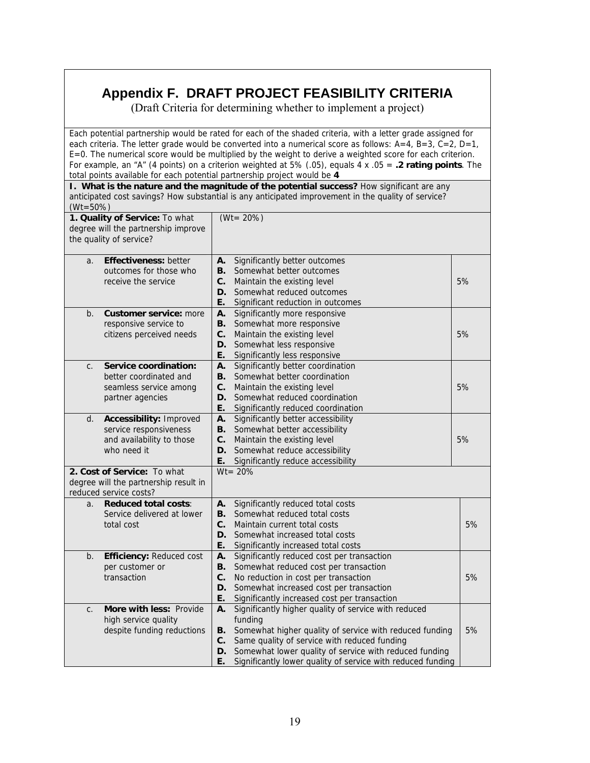# **Appendix F. DRAFT PROJECT FEASIBILITY CRITERIA**

(Draft Criteria for determining whether to implement a project)

Each potential partnership would be rated for each of the shaded criteria, with a letter grade assigned for each criteria. The letter grade would be converted into a numerical score as follows:  $A=4$ ,  $B=3$ ,  $C=2$ ,  $D=1$ , E=0. The numerical score would be multiplied by the weight to derive a weighted score for each criterion. For example, an "A" (4 points) on a criterion weighted at 5% (.05), equals 4 x .05 = **.2 rating points**. The total points available for each potential partnership project would be **4** 

**I. What is the nature and the magnitude of the potential success?** How significant are any anticipated cost savings? How substantial is any anticipated improvement in the quality of service?  $(Wt = 50\%)$ 

| 1. Quality of Service: To what<br>degree will the partnership improve<br>the quality of service? |                                                                                                |                            | $(Wt = 20\%)$                                                                                                                                                                                                                                                                                       |    |
|--------------------------------------------------------------------------------------------------|------------------------------------------------------------------------------------------------|----------------------------|-----------------------------------------------------------------------------------------------------------------------------------------------------------------------------------------------------------------------------------------------------------------------------------------------------|----|
| a.                                                                                               | <b>Effectiveness: better</b><br>outcomes for those who<br>receive the service                  | А.<br>В.<br>C.<br>D.<br>Е. | Significantly better outcomes<br>Somewhat better outcomes<br>Maintain the existing level<br>Somewhat reduced outcomes<br>Significant reduction in outcomes                                                                                                                                          | 5% |
| b.                                                                                               | <b>Customer service: more</b><br>responsive service to<br>citizens perceived needs             | А.<br>В.<br>C.<br>D.<br>Е. | Significantly more responsive<br>Somewhat more responsive<br>Maintain the existing level<br>Somewhat less responsive<br>Significantly less responsive                                                                                                                                               | 5% |
| C.                                                                                               | Service coordination:<br>better coordinated and<br>seamless service among<br>partner agencies  | А.<br>В.<br>C.<br>D.<br>Е. | Significantly better coordination<br>Somewhat better coordination<br>Maintain the existing level<br>Somewhat reduced coordination<br>Significantly reduced coordination                                                                                                                             | 5% |
| d.                                                                                               | Accessibility: Improved<br>service responsiveness<br>and availability to those<br>who need it  | Α.<br>В.<br>C.<br>D.<br>Е. | Significantly better accessibility<br>Somewhat better accessibility<br>Maintain the existing level<br>Somewhat reduce accessibility<br>Significantly reduce accessibility                                                                                                                           | 5% |
|                                                                                                  | 2. Cost of Service: To what<br>degree will the partnership result in<br>reduced service costs? |                            | $Wt = 20%$                                                                                                                                                                                                                                                                                          |    |
| a <sub>1</sub>                                                                                   | <b>Reduced total costs:</b><br>Service delivered at lower<br>total cost                        | А.<br>В.<br>C.<br>D.<br>Е. | Significantly reduced total costs<br>Somewhat reduced total costs<br>Maintain current total costs<br>Somewhat increased total costs<br>Significantly increased total costs                                                                                                                          | 5% |
| b.                                                                                               | <b>Efficiency: Reduced cost</b><br>per customer or<br>transaction                              | Α.<br>В.<br>C.<br>D.<br>Е. | Significantly reduced cost per transaction<br>Somewhat reduced cost per transaction<br>No reduction in cost per transaction<br>Somewhat increased cost per transaction<br>Significantly increased cost per transaction                                                                              | 5% |
| C.                                                                                               | More with less: Provide<br>high service quality<br>despite funding reductions                  | А.<br>В.<br>C.<br>D.<br>Е. | Significantly higher quality of service with reduced<br>funding<br>Somewhat higher quality of service with reduced funding<br>Same quality of service with reduced funding<br>Somewhat lower quality of service with reduced funding<br>Significantly lower quality of service with reduced funding | 5% |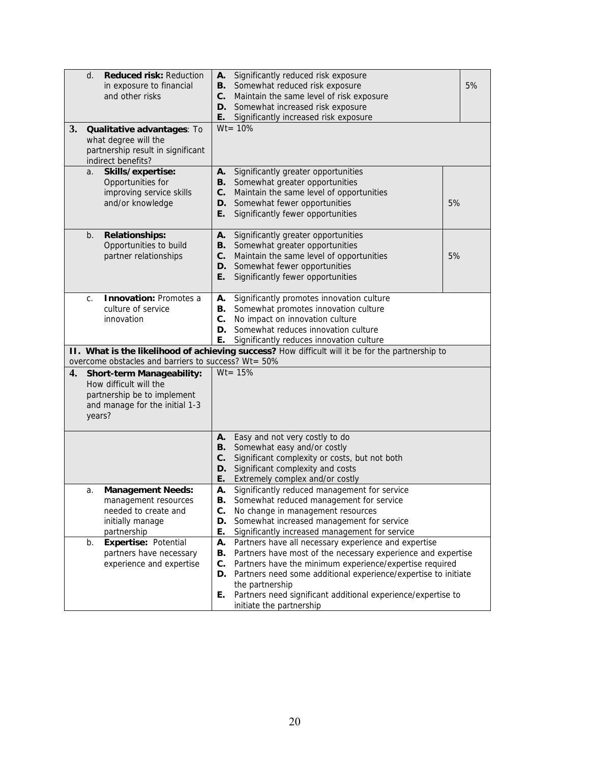| 3.                                                                                                                                                        | <b>Reduced risk: Reduction</b><br>d.<br>in exposure to financial<br>and other risks<br>Qualitative advantages: To                                       | Significantly reduced risk exposure<br>А.<br>В.<br>Somewhat reduced risk exposure<br>Maintain the same level of risk exposure<br>C.<br>Somewhat increased risk exposure<br>D.<br>E.<br>Significantly increased risk exposure<br>$Wt = 10%$                                                                                                                                                     | 5% |  |
|-----------------------------------------------------------------------------------------------------------------------------------------------------------|---------------------------------------------------------------------------------------------------------------------------------------------------------|------------------------------------------------------------------------------------------------------------------------------------------------------------------------------------------------------------------------------------------------------------------------------------------------------------------------------------------------------------------------------------------------|----|--|
|                                                                                                                                                           | what degree will the<br>partnership result in significant<br>indirect benefits?                                                                         |                                                                                                                                                                                                                                                                                                                                                                                                |    |  |
|                                                                                                                                                           | Skills/expertise:<br>a.<br>Opportunities for<br>improving service skills<br>and/or knowledge                                                            | Significantly greater opportunities<br>А.<br>Somewhat greater opportunities<br>В.<br>Maintain the same level of opportunities<br>C.<br>Somewhat fewer opportunities<br>D.<br>Е.<br>Significantly fewer opportunities                                                                                                                                                                           | 5% |  |
|                                                                                                                                                           | <b>Relationships:</b><br>b.<br>Opportunities to build<br>partner relationships                                                                          | А.<br>Significantly greater opportunities<br>Somewhat greater opportunities<br>В.<br>Maintain the same level of opportunities<br>C.<br>Somewhat fewer opportunities<br>D.<br>Ε.<br>Significantly fewer opportunities                                                                                                                                                                           | 5% |  |
|                                                                                                                                                           | <b>Innovation: Promotes a</b><br>C.<br>culture of service<br>innovation                                                                                 | Significantly promotes innovation culture<br>А.<br>Somewhat promotes innovation culture<br>В.<br>$\mathbf{C}$ .<br>No impact on innovation culture<br>Somewhat reduces innovation culture<br>D.<br>Е.<br>Significantly reduces innovation culture                                                                                                                                              |    |  |
|                                                                                                                                                           | II. What is the likelihood of achieving success? How difficult will it be for the partnership to<br>overcome obstacles and barriers to success? Wt= 50% |                                                                                                                                                                                                                                                                                                                                                                                                |    |  |
| $Wt = 15%$<br>4.<br><b>Short-term Manageability:</b><br>How difficult will the<br>partnership be to implement<br>and manage for the initial 1-3<br>years? |                                                                                                                                                         |                                                                                                                                                                                                                                                                                                                                                                                                |    |  |
|                                                                                                                                                           |                                                                                                                                                         | Easy and not very costly to do<br>А.<br>Somewhat easy and/or costly<br>В.<br>Significant complexity or costs, but not both<br>C.<br>Significant complexity and costs<br>D.<br>Е.<br>Extremely complex and/or costly                                                                                                                                                                            |    |  |
|                                                                                                                                                           | <b>Management Needs:</b><br>a.<br>management resources<br>needed to create and<br>initially manage<br>partnership                                       | Significantly reduced management for service<br>Α.<br>Somewhat reduced management for service<br>В.<br>C.<br>No change in management resources<br>Somewhat increased management for service<br>D.<br>Е.<br>Significantly increased management for service                                                                                                                                      |    |  |
|                                                                                                                                                           | Expertise: Potential<br>b.<br>partners have necessary<br>experience and expertise                                                                       | Partners have all necessary experience and expertise<br>А.<br>Partners have most of the necessary experience and expertise<br>В.<br>Partners have the minimum experience/expertise required<br>C.<br>Partners need some additional experience/expertise to initiate<br>D.<br>the partnership<br>Partners need significant additional experience/expertise to<br>Е.<br>initiate the partnership |    |  |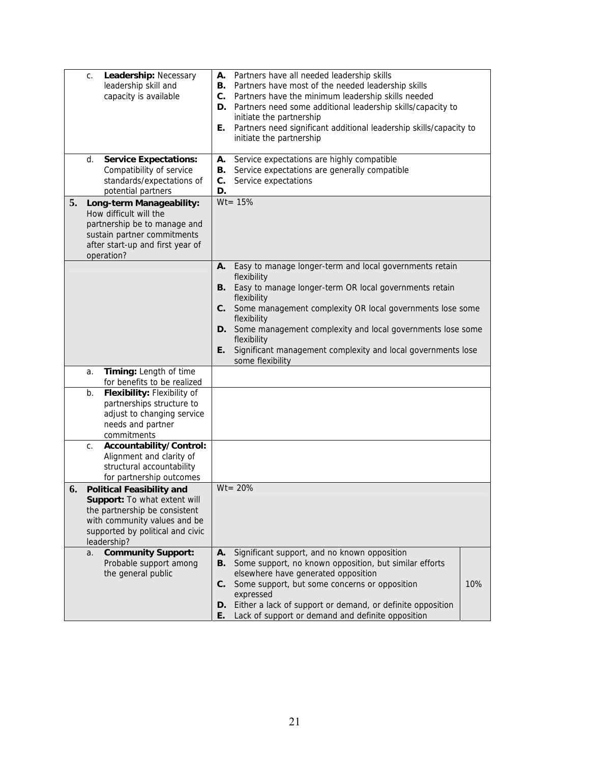| Leadership: Necessary<br>C.<br>leadership skill and<br>capacity is available                                                                                                               | Partners have all needed leadership skills<br>Α.<br>Partners have most of the needed leadership skills<br>В.<br>Partners have the minimum leadership skills needed<br>$\mathbf{C}$ .<br>D. Partners need some additional leadership skills/capacity to<br>initiate the partnership<br>E. Partners need significant additional leadership skills/capacity to<br>initiate the partnership                                 |
|--------------------------------------------------------------------------------------------------------------------------------------------------------------------------------------------|-------------------------------------------------------------------------------------------------------------------------------------------------------------------------------------------------------------------------------------------------------------------------------------------------------------------------------------------------------------------------------------------------------------------------|
| <b>Service Expectations:</b><br>d.<br>Compatibility of service<br>standards/expectations of<br>potential partners                                                                          | Service expectations are highly compatible<br>А.<br>Service expectations are generally compatible<br>В.<br>Service expectations<br>C.<br>D.                                                                                                                                                                                                                                                                             |
| 5.<br>Long-term Manageability:<br>How difficult will the<br>partnership be to manage and<br>sustain partner commitments<br>after start-up and first year of<br>operation?                  | $Wt = 15%$                                                                                                                                                                                                                                                                                                                                                                                                              |
|                                                                                                                                                                                            | Easy to manage longer-term and local governments retain<br>Α.<br>flexibility<br>Easy to manage longer-term OR local governments retain<br>В.<br>flexibility<br>Some management complexity OR local governments lose some<br>C.<br>flexibility<br>D. Some management complexity and local governments lose some<br>flexibility<br>Significant management complexity and local governments lose<br>Е.<br>some flexibility |
| Timing: Length of time<br>a.                                                                                                                                                               |                                                                                                                                                                                                                                                                                                                                                                                                                         |
| for benefits to be realized<br>Flexibility: Flexibility of<br>b.<br>partnerships structure to<br>adjust to changing service<br>needs and partner<br>commitments                            |                                                                                                                                                                                                                                                                                                                                                                                                                         |
| Accountability/Control:<br>C.<br>Alignment and clarity of<br>structural accountability<br>for partnership outcomes                                                                         |                                                                                                                                                                                                                                                                                                                                                                                                                         |
| 6.<br><b>Political Feasibility and</b><br>Support: To what extent will<br>the partnership be consistent<br>with community values and be<br>supported by political and civic<br>leadership? | $Wt = 20%$                                                                                                                                                                                                                                                                                                                                                                                                              |
| <b>Community Support:</b><br>a.<br>Probable support among<br>the general public                                                                                                            | Significant support, and no known opposition<br>А.<br>Some support, no known opposition, but similar efforts<br>В.<br>elsewhere have generated opposition<br>Some support, but some concerns or opposition<br>10%<br>C.<br>expressed<br>D. Either a lack of support or demand, or definite opposition<br>Lack of support or demand and definite opposition<br>E.                                                        |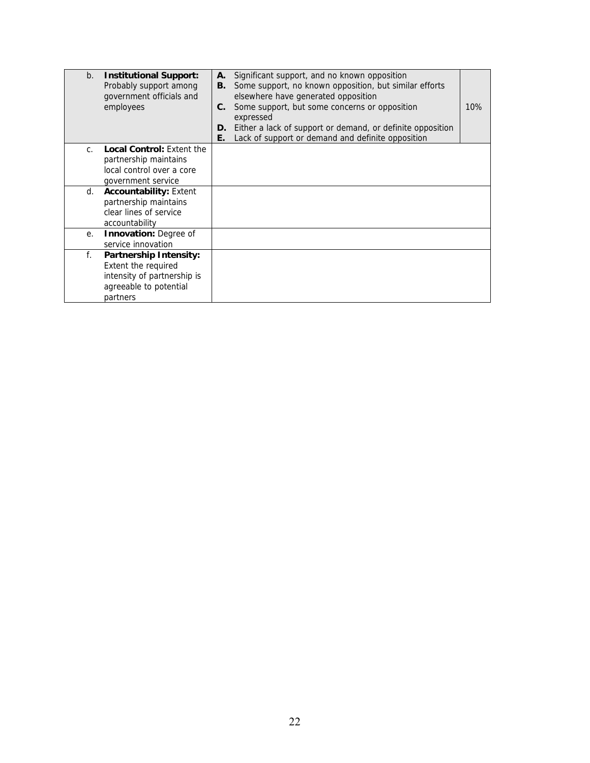| b.             | <b>Institutional Support:</b><br>Probably support among<br>government officials and<br>employees                                 | А.<br>В.<br>C.<br>D.<br>Е. | Significant support, and no known opposition<br>Some support, no known opposition, but similar efforts<br>elsewhere have generated opposition<br>Some support, but some concerns or opposition<br>expressed<br>Either a lack of support or demand, or definite opposition<br>Lack of support or demand and definite opposition | 10% |
|----------------|----------------------------------------------------------------------------------------------------------------------------------|----------------------------|--------------------------------------------------------------------------------------------------------------------------------------------------------------------------------------------------------------------------------------------------------------------------------------------------------------------------------|-----|
| $\mathsf{C}$ . | <b>Local Control: Extent the</b><br>partnership maintains<br>local control over a core<br>government service                     |                            |                                                                                                                                                                                                                                                                                                                                |     |
| d.             | <b>Accountability: Extent</b><br>partnership maintains<br>clear lines of service<br>accountability                               |                            |                                                                                                                                                                                                                                                                                                                                |     |
| е.             | <b>Innovation: Degree of</b><br>service innovation                                                                               |                            |                                                                                                                                                                                                                                                                                                                                |     |
| f.             | <b>Partnership Intensity:</b><br><b>Extent the required</b><br>intensity of partnership is<br>agreeable to potential<br>partners |                            |                                                                                                                                                                                                                                                                                                                                |     |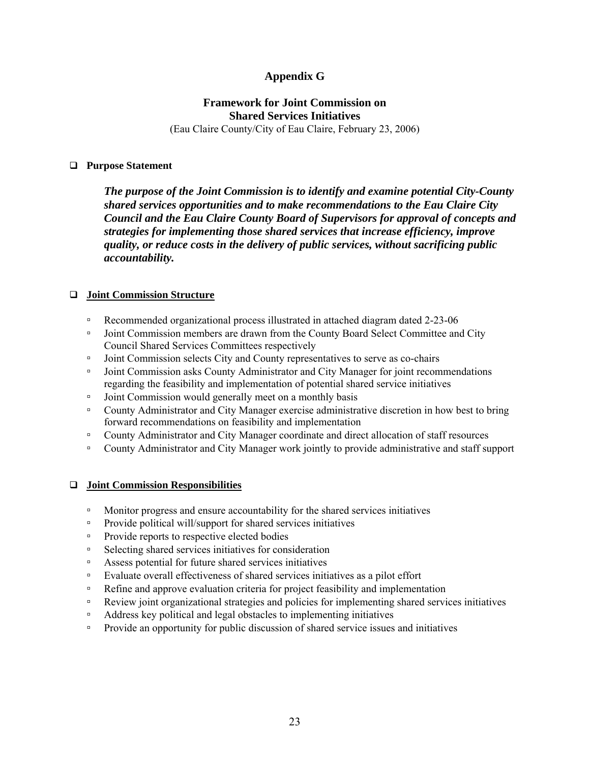## **Appendix G**

# **Framework for Joint Commission on Shared Services Initiatives**

(Eau Claire County/City of Eau Claire, February 23, 2006)

#### **Purpose Statement**

*The purpose of the Joint Commission is to identify and examine potential City-County shared services opportunities and to make recommendations to the Eau Claire City Council and the Eau Claire County Board of Supervisors for approval of concepts and strategies for implementing those shared services that increase efficiency, improve quality, or reduce costs in the delivery of public services, without sacrificing public accountability.* 

#### **Joint Commission Structure**

- Recommended organizational process illustrated in attached diagram dated 2-23-06
- □ Joint Commission members are drawn from the County Board Select Committee and City Council Shared Services Committees respectively
- Joint Commission selects City and County representatives to serve as co-chairs
- Joint Commission asks County Administrator and City Manager for joint recommendations regarding the feasibility and implementation of potential shared service initiatives
- □ Joint Commission would generally meet on a monthly basis
- County Administrator and City Manager exercise administrative discretion in how best to bring forward recommendations on feasibility and implementation
- County Administrator and City Manager coordinate and direct allocation of staff resources
- County Administrator and City Manager work jointly to provide administrative and staff support

#### **Joint Commission Responsibilities**

- Monitor progress and ensure accountability for the shared services initiatives
- Provide political will/support for shared services initiatives
- Provide reports to respective elected bodies
- Selecting shared services initiatives for consideration
- Assess potential for future shared services initiatives
- Evaluate overall effectiveness of shared services initiatives as a pilot effort
- □ Refine and approve evaluation criteria for project feasibility and implementation
- Review joint organizational strategies and policies for implementing shared services initiatives
- Address key political and legal obstacles to implementing initiatives
- Provide an opportunity for public discussion of shared service issues and initiatives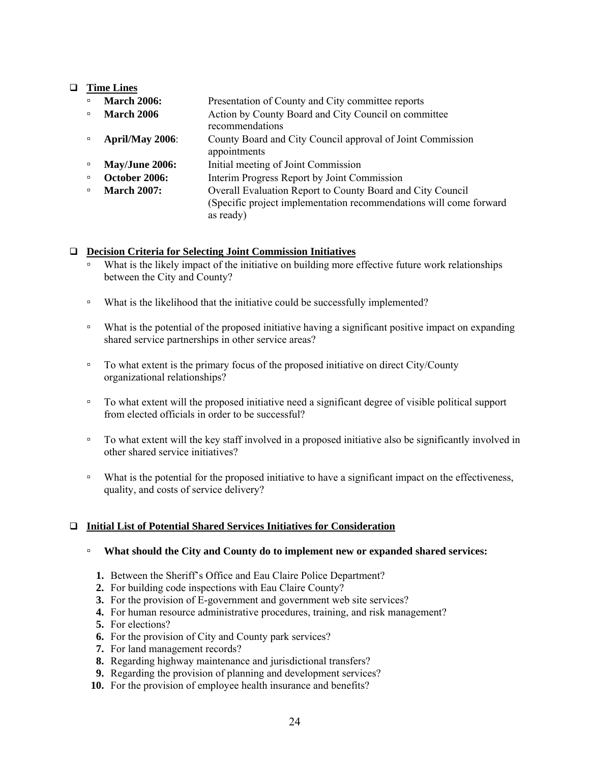#### **Time Lines**

| $\Box$ | <b>March 2006:</b> | Presentation of County and City committee reports                                                                                             |
|--------|--------------------|-----------------------------------------------------------------------------------------------------------------------------------------------|
| $\Box$ | <b>March 2006</b>  | Action by County Board and City Council on committee<br>recommendations                                                                       |
| $\Box$ | April/May 2006:    | County Board and City Council approval of Joint Commission<br>appointments                                                                    |
| $\Box$ | May/June 2006:     | Initial meeting of Joint Commission                                                                                                           |
| $\Box$ | October 2006:      | Interim Progress Report by Joint Commission                                                                                                   |
| $\Box$ | <b>March 2007:</b> | Overall Evaluation Report to County Board and City Council<br>(Specific project implementation recommendations will come forward<br>as ready) |

#### **Decision Criteria for Selecting Joint Commission Initiatives**

- What is the likely impact of the initiative on building more effective future work relationships between the City and County?
- □ What is the likelihood that the initiative could be successfully implemented?
- What is the potential of the proposed initiative having a significant positive impact on expanding shared service partnerships in other service areas?
- □ To what extent is the primary focus of the proposed initiative on direct City/County organizational relationships?
- To what extent will the proposed initiative need a significant degree of visible political support from elected officials in order to be successful?
- □ To what extent will the key staff involved in a proposed initiative also be significantly involved in other shared service initiatives?
- □ What is the potential for the proposed initiative to have a significant impact on the effectiveness, quality, and costs of service delivery?

#### **Initial List of Potential Shared Services Initiatives for Consideration**

- **What should the City and County do to implement new or expanded shared services:** 
	- **1.** Between the Sheriff's Office and Eau Claire Police Department?
	- **2.** For building code inspections with Eau Claire County?
	- **3.** For the provision of E-government and government web site services?
	- **4.** For human resource administrative procedures, training, and risk management?
	- **5.** For elections?
	- **6.** For the provision of City and County park services?
	- **7.** For land management records?
	- **8.** Regarding highway maintenance and jurisdictional transfers?
	- **9.** Regarding the provision of planning and development services?
- **10.** For the provision of employee health insurance and benefits?